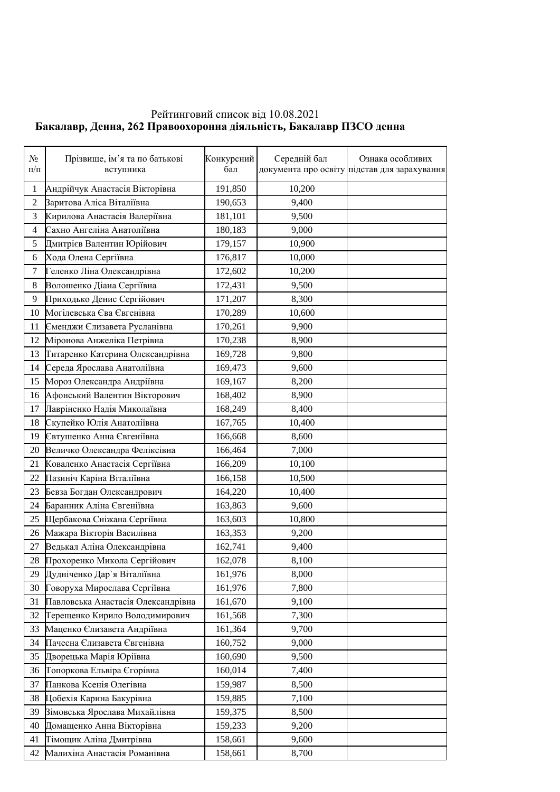## Рейтинговий список від 10.08.2021  **Ȼɚɤɚɥɚɜɪ, Ⱦɟɧɧɚ, ɉɪɚɜɨɨɯɨɪɨɧɧɚɞɿɹɥɶɧɿɫɬɶ, ȻɚɤɚɥɚɜɪɉɁɋɈɞɟɧɧɚ**

| $N_2$<br>$\Pi/\Pi$ | Прізвище, ім'я та по батькові<br>вступника            | Конкурсний<br>бал | Середній бал | Ознака особливих<br>документа про освіту підстав для зарахування |
|--------------------|-------------------------------------------------------|-------------------|--------------|------------------------------------------------------------------|
|                    |                                                       |                   |              |                                                                  |
| 1                  | Андрійчук Анастасія Вікторівна                        | 191,850           | 10,200       |                                                                  |
| $\overline{2}$     | Заритова Аліса Віталіївна                             | 190,653           | 9,400        |                                                                  |
| 3                  | Кирилова Анастасія Валеріївна                         | 181,101           | 9,500        |                                                                  |
| $\overline{4}$     | Сахно Ангеліна Анатоліївна                            | 180,183           | 9,000        |                                                                  |
| 5                  | Дмитрієв Валентин Юрійович                            | 179,157           | 10,900       |                                                                  |
| 6                  | Хода Олена Сергіївна                                  | 176,817           | 10,000       |                                                                  |
| $\tau$             | Геленко Ліна Олександрівна                            | 172,602           | 10,200       |                                                                  |
| 8                  | Волошенко Діана Сергіївна                             | 172,431           | 9,500        |                                                                  |
| 9                  | Приходько Денис Сергійович                            | 171,207           | 8,300        |                                                                  |
| 10                 | Могілевська Єва Євгенівна                             | 170,289           | 10,600       |                                                                  |
| 11                 | Єменджи Єлизавета Русланівна                          | 170,261           | 9,900        |                                                                  |
| 12                 | Міронова Анжеліка Петрівна                            | 170,238           | 8,900        |                                                                  |
| 13                 | Титаренко Катерина Олександрівна                      | 169,728           | 9,800        |                                                                  |
| 14                 | Середа Ярослава Анатоліївна                           | 169,473           | 9,600        |                                                                  |
| 15                 | Мороз Олександра Андріївна                            | 169,167           | 8,200        |                                                                  |
| 16                 | Афонський Валентин Вікторович                         | 168,402           | 8,900        |                                                                  |
| 17                 | Лавріненко Надія Миколаївна                           | 168,249           | 8,400        |                                                                  |
| 18                 | Скупейко Юлія Анатоліївна                             | 167,765           | 10,400       |                                                                  |
| 19                 | Євтушенко Анна Євгеніївна                             | 166,668           | 8,600        |                                                                  |
| 20                 | Величко Олександра Феліксівна                         | 166,464           | 7,000        |                                                                  |
| 21                 | Коваленко Анастасія Сергіївна                         | 166,209           | 10,100       |                                                                  |
| 22                 | Пазиніч Каріна Віталіївна                             | 166,158           | 10,500       |                                                                  |
| 23                 | Бевза Богдан Олександрович                            | 164,220           | 10,400       |                                                                  |
| 24                 | Баранник Аліна Євгеніївна                             | 163,863           | 9,600        |                                                                  |
| 25                 | Щербакова Сніжана Сергіївна                           | 163,603           | 10,800       |                                                                  |
| 26                 | Мажара Вікторія Василівна                             | 163,353           | 9,200        |                                                                  |
| 27                 | Ведькал Аліна Олександрівна                           | 162,741           | 9,400        |                                                                  |
| 28                 | Прохоренко Микола Сергійович                          | 162,078           | 8,100        |                                                                  |
| 29                 | Дудніченко Дар'я Віталіївна                           | 161,976           | 8,000        |                                                                  |
| 30                 | Говоруха Мирослава Сергіївна                          | 161,976           | 7,800        |                                                                  |
| 31                 | Павловська Анастасія Олександрівна                    | 161,670           | 9,100        |                                                                  |
| 32                 | Терещенко Кирило Володимирович                        | 161,568           | 7,300        |                                                                  |
| 33                 | Маценко Єлизавета Андріївна                           | 161,364           | 9,700        |                                                                  |
| 34                 | Пачесна Єлизавета Євгенівна                           | 160,752           | 9,000        |                                                                  |
|                    | Дворецька Марія Юріївна                               |                   |              |                                                                  |
| 35                 |                                                       | 160,690           | 9,500        |                                                                  |
| 36                 | Топоркова Ельвіра Єгорівна<br>Панкова Ксенія Олегівна | 160,014           | 7,400        |                                                                  |
| 37                 |                                                       | 159,987           | 8,500        |                                                                  |
| 38                 | Цобехія Карина Бакурівна                              | 159,885           | 7,100        |                                                                  |
| 39                 | Вімовська Ярослава Михайлівна                         | 159,375           | 8,500        |                                                                  |
| 40                 | Домащенко Анна Вікторівна                             | 159,233           | 9,200        |                                                                  |
| 41                 | Тімощик Аліна Дмитрівна                               | 158,661           | 9,600        |                                                                  |
| 42                 | Малихіна Анастасія Романівна                          | 158,661           | 8,700        |                                                                  |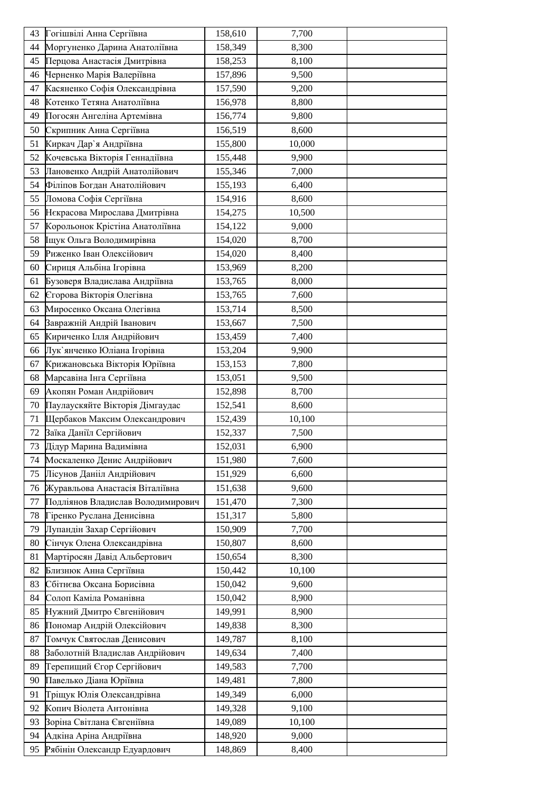| 43 | Гогішвілі Анна Сергіївна          | 158,610 | 7,700  |  |
|----|-----------------------------------|---------|--------|--|
| 44 | Моргуненко Дарина Анатоліївна     | 158,349 | 8,300  |  |
| 45 | Перцова Анастасія Дмитрівна       | 158,253 | 8,100  |  |
| 46 | Черненко Марія Валеріївна         | 157,896 | 9,500  |  |
| 47 | Касяненко Софія Олександрівна     | 157,590 | 9,200  |  |
| 48 | Котенко Тетяна Анатоліївна        | 156,978 | 8,800  |  |
| 49 | Погосян Ангеліна Артемівна        | 156,774 | 9,800  |  |
| 50 | Скрипник Анна Сергіївна           | 156,519 | 8,600  |  |
| 51 | Киркач Дар'я Андріївна            | 155,800 | 10,000 |  |
| 52 | Кочевська Вікторія Геннадіївна    | 155,448 | 9,900  |  |
| 53 | Лановенко Андрій Анатолійович     | 155,346 | 7,000  |  |
| 54 | Філіпов Богдан Анатолійович       | 155,193 | 6,400  |  |
| 55 | Ломова Софія Сергіївна            | 154,916 | 8,600  |  |
| 56 | Некрасова Мирослава Дмитрівна     | 154,275 | 10,500 |  |
| 57 | Корольонок Крістіна Анатоліївна   | 154,122 | 9,000  |  |
| 58 | Іщук Ольга Володимирівна          | 154,020 | 8,700  |  |
| 59 | Риженко Іван Олексійович          | 154,020 | 8,400  |  |
| 60 | Сириця Альбіна Ігорівна           | 153,969 | 8,200  |  |
| 61 | Бузоверя Владислава Андріївна     | 153,765 | 8,000  |  |
| 62 | Єгорова Вікторія Олегівна         | 153,765 | 7,600  |  |
| 63 | Миросенко Оксана Олегівна         | 153,714 | 8,500  |  |
| 64 | Завражній Андрій Іванович         | 153,667 | 7,500  |  |
| 65 | Кириченко Ілля Андрійович         | 153,459 | 7,400  |  |
| 66 | Лук'янченко Юліана Ігорівна       | 153,204 | 9,900  |  |
| 67 | Крижановська Вікторія Юріївна     | 153,153 | 7,800  |  |
| 68 | Марсавіна Інга Сергіївна          | 153,051 | 9,500  |  |
| 69 | Акопян Роман Андрійович           | 152,898 | 8,700  |  |
| 70 | Паулаускяйте Вікторія Дімгаудас   | 152,541 | 8,600  |  |
| 71 | Щербаков Максим Олександрович     | 152,439 | 10,100 |  |
| 72 | Заїка Даніїл Сергійович           | 152,337 | 7,500  |  |
| 73 | Дідур Марина Вадимівна            | 152,031 | 6,900  |  |
| 74 | Москаленко Денис Андрійович       | 151,980 | 7,600  |  |
| 75 | Лісунов Данііл Андрійович         | 151,929 | 6,600  |  |
| 76 | Журавльова Анастасія Віталіївна   | 151,638 | 9,600  |  |
| 77 | Подліянов Владислав Володимирович | 151,470 | 7,300  |  |
| 78 | Гіренко Руслана Денисівна         | 151,317 | 5,800  |  |
| 79 | Лупандін Захар Сергійович         | 150,909 | 7,700  |  |
| 80 | Сінчук Олена Олександрівна        | 150,807 | 8,600  |  |
| 81 | Мартіросян Давід Альбертович      | 150,654 | 8,300  |  |
| 82 | Близнюк Анна Сергіївна            | 150,442 | 10,100 |  |
| 83 | Сбітнєва Оксана Борисівна         | 150,042 | 9,600  |  |
| 84 | Солоп Каміла Романівна            | 150,042 | 8,900  |  |
| 85 | Нужний Дмитро Євгенійович         | 149,991 | 8,900  |  |
| 86 | Пономар Андрій Олексійович        | 149,838 | 8,300  |  |
| 87 | Томчук Святослав Денисович        | 149,787 | 8,100  |  |
| 88 | Заболотній Владислав Андрійович   | 149,634 | 7,400  |  |
| 89 | Терепищий Єгор Сергійович         | 149,583 | 7,700  |  |
| 90 | Павелько Діана Юріївна            | 149,481 | 7,800  |  |
| 91 | Тріщук Юлія Олександрівна         | 149,349 | 6,000  |  |
| 92 | Копич Віолета Антонівна           | 149,328 | 9,100  |  |
| 93 | Зоріна Світлана Євгеніївна        | 149,089 | 10,100 |  |
| 94 | Адкіна Аріна Андріївна            | 148,920 | 9,000  |  |
| 95 | Рябінін Олександр Едуардович      | 148,869 | 8,400  |  |
|    |                                   |         |        |  |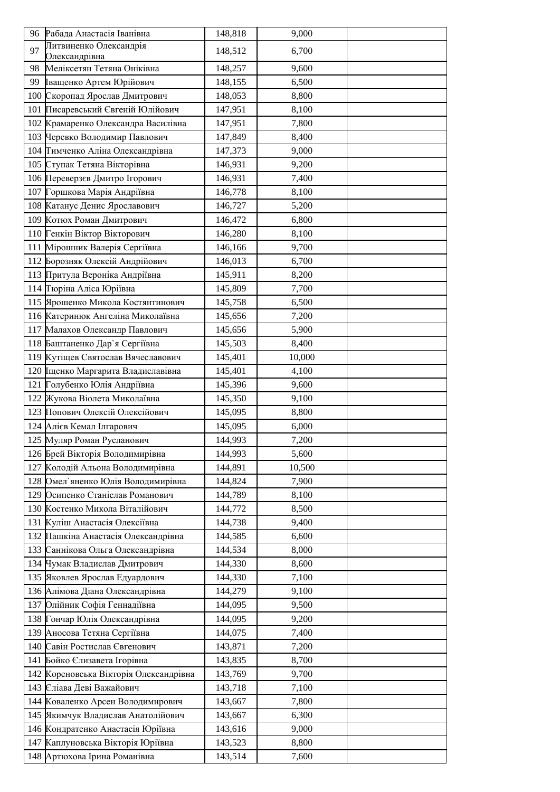| Литвиненко Олександрія<br>97<br>148,512<br>6,700<br>Олександрівна<br>Меліксетян Тетяна Оніківна<br>98<br>148,257<br>9,600<br>Іващенко Артем Юрійович<br>99<br>148,155<br>6,500<br>100 Скоропад Ярослав Дмитрович<br>148,053<br>8,800<br>Писаревський Євгеній Юлійович<br>147,951<br>8,100<br>101<br>102 Крамаренко Олександра Василівна<br>147,951<br>7,800<br>103 Черевко Володимир Павлович<br>147,849<br>8,400<br>Тимченко Аліна Олександрівна<br>104<br>9,000<br>147,373<br>105 Ступак Тетяна Вікторівна<br>146,931<br>9,200<br>106 Переверзєв Дмитро Ігорович<br>146,931<br>7,400<br>107 Горшкова Марія Андріївна<br>146,778<br>8,100<br>108 Катанус Денис Ярославович<br>146,727<br>5,200<br>109 Котюх Роман Дмитрович<br>146,472<br>6,800<br>110 Генкін Віктор Вікторович<br>146,280<br>8,100<br>111 Мірошник Валерія Сергіївна<br>146,166<br>9,700<br>112 Борозняк Олексій Андрійович<br>146,013<br>6,700<br>113 Притула Вероніка Андріївна<br>145,911<br>8,200<br>114 Гюріна Аліса Юріївна<br>145,809<br>7,700<br>115 Ярошенко Микола Костянтинович<br>145,758<br>6,500<br>116 Катеринюк Ангеліна Миколаївна<br>7,200<br>145,656<br>117 Малахов Олександр Павлович<br>145,656<br>5,900<br>118 Баштаненко Дар'я Сергіївна<br>145,503<br>8,400<br>119 Кутіщев Святослав Вячеславович<br>145,401<br>10,000<br>120 Іщенко Маргарита Владиславівна<br>145,401<br>4,100 |
|----------------------------------------------------------------------------------------------------------------------------------------------------------------------------------------------------------------------------------------------------------------------------------------------------------------------------------------------------------------------------------------------------------------------------------------------------------------------------------------------------------------------------------------------------------------------------------------------------------------------------------------------------------------------------------------------------------------------------------------------------------------------------------------------------------------------------------------------------------------------------------------------------------------------------------------------------------------------------------------------------------------------------------------------------------------------------------------------------------------------------------------------------------------------------------------------------------------------------------------------------------------------------------------------------------------------------------------------------------------------------|
|                                                                                                                                                                                                                                                                                                                                                                                                                                                                                                                                                                                                                                                                                                                                                                                                                                                                                                                                                                                                                                                                                                                                                                                                                                                                                                                                                                            |
|                                                                                                                                                                                                                                                                                                                                                                                                                                                                                                                                                                                                                                                                                                                                                                                                                                                                                                                                                                                                                                                                                                                                                                                                                                                                                                                                                                            |
|                                                                                                                                                                                                                                                                                                                                                                                                                                                                                                                                                                                                                                                                                                                                                                                                                                                                                                                                                                                                                                                                                                                                                                                                                                                                                                                                                                            |
|                                                                                                                                                                                                                                                                                                                                                                                                                                                                                                                                                                                                                                                                                                                                                                                                                                                                                                                                                                                                                                                                                                                                                                                                                                                                                                                                                                            |
|                                                                                                                                                                                                                                                                                                                                                                                                                                                                                                                                                                                                                                                                                                                                                                                                                                                                                                                                                                                                                                                                                                                                                                                                                                                                                                                                                                            |
|                                                                                                                                                                                                                                                                                                                                                                                                                                                                                                                                                                                                                                                                                                                                                                                                                                                                                                                                                                                                                                                                                                                                                                                                                                                                                                                                                                            |
|                                                                                                                                                                                                                                                                                                                                                                                                                                                                                                                                                                                                                                                                                                                                                                                                                                                                                                                                                                                                                                                                                                                                                                                                                                                                                                                                                                            |
|                                                                                                                                                                                                                                                                                                                                                                                                                                                                                                                                                                                                                                                                                                                                                                                                                                                                                                                                                                                                                                                                                                                                                                                                                                                                                                                                                                            |
|                                                                                                                                                                                                                                                                                                                                                                                                                                                                                                                                                                                                                                                                                                                                                                                                                                                                                                                                                                                                                                                                                                                                                                                                                                                                                                                                                                            |
|                                                                                                                                                                                                                                                                                                                                                                                                                                                                                                                                                                                                                                                                                                                                                                                                                                                                                                                                                                                                                                                                                                                                                                                                                                                                                                                                                                            |
|                                                                                                                                                                                                                                                                                                                                                                                                                                                                                                                                                                                                                                                                                                                                                                                                                                                                                                                                                                                                                                                                                                                                                                                                                                                                                                                                                                            |
|                                                                                                                                                                                                                                                                                                                                                                                                                                                                                                                                                                                                                                                                                                                                                                                                                                                                                                                                                                                                                                                                                                                                                                                                                                                                                                                                                                            |
|                                                                                                                                                                                                                                                                                                                                                                                                                                                                                                                                                                                                                                                                                                                                                                                                                                                                                                                                                                                                                                                                                                                                                                                                                                                                                                                                                                            |
|                                                                                                                                                                                                                                                                                                                                                                                                                                                                                                                                                                                                                                                                                                                                                                                                                                                                                                                                                                                                                                                                                                                                                                                                                                                                                                                                                                            |
|                                                                                                                                                                                                                                                                                                                                                                                                                                                                                                                                                                                                                                                                                                                                                                                                                                                                                                                                                                                                                                                                                                                                                                                                                                                                                                                                                                            |
|                                                                                                                                                                                                                                                                                                                                                                                                                                                                                                                                                                                                                                                                                                                                                                                                                                                                                                                                                                                                                                                                                                                                                                                                                                                                                                                                                                            |
|                                                                                                                                                                                                                                                                                                                                                                                                                                                                                                                                                                                                                                                                                                                                                                                                                                                                                                                                                                                                                                                                                                                                                                                                                                                                                                                                                                            |
|                                                                                                                                                                                                                                                                                                                                                                                                                                                                                                                                                                                                                                                                                                                                                                                                                                                                                                                                                                                                                                                                                                                                                                                                                                                                                                                                                                            |
|                                                                                                                                                                                                                                                                                                                                                                                                                                                                                                                                                                                                                                                                                                                                                                                                                                                                                                                                                                                                                                                                                                                                                                                                                                                                                                                                                                            |
|                                                                                                                                                                                                                                                                                                                                                                                                                                                                                                                                                                                                                                                                                                                                                                                                                                                                                                                                                                                                                                                                                                                                                                                                                                                                                                                                                                            |
|                                                                                                                                                                                                                                                                                                                                                                                                                                                                                                                                                                                                                                                                                                                                                                                                                                                                                                                                                                                                                                                                                                                                                                                                                                                                                                                                                                            |
|                                                                                                                                                                                                                                                                                                                                                                                                                                                                                                                                                                                                                                                                                                                                                                                                                                                                                                                                                                                                                                                                                                                                                                                                                                                                                                                                                                            |
|                                                                                                                                                                                                                                                                                                                                                                                                                                                                                                                                                                                                                                                                                                                                                                                                                                                                                                                                                                                                                                                                                                                                                                                                                                                                                                                                                                            |
|                                                                                                                                                                                                                                                                                                                                                                                                                                                                                                                                                                                                                                                                                                                                                                                                                                                                                                                                                                                                                                                                                                                                                                                                                                                                                                                                                                            |
|                                                                                                                                                                                                                                                                                                                                                                                                                                                                                                                                                                                                                                                                                                                                                                                                                                                                                                                                                                                                                                                                                                                                                                                                                                                                                                                                                                            |
| 121 Голубенко Юлія Андріївна<br>9,600<br>145,396<br>122 Жукова Віолета Миколаївна<br>145,350<br>9,100                                                                                                                                                                                                                                                                                                                                                                                                                                                                                                                                                                                                                                                                                                                                                                                                                                                                                                                                                                                                                                                                                                                                                                                                                                                                      |
| 123 Попович Олексій Олексійович<br>145,095<br>8,800                                                                                                                                                                                                                                                                                                                                                                                                                                                                                                                                                                                                                                                                                                                                                                                                                                                                                                                                                                                                                                                                                                                                                                                                                                                                                                                        |
| 124 Алієв Кемал Ілгарович<br>145,095<br>6,000                                                                                                                                                                                                                                                                                                                                                                                                                                                                                                                                                                                                                                                                                                                                                                                                                                                                                                                                                                                                                                                                                                                                                                                                                                                                                                                              |
| 125 Муляр Роман Русланович<br>144,993<br>7,200                                                                                                                                                                                                                                                                                                                                                                                                                                                                                                                                                                                                                                                                                                                                                                                                                                                                                                                                                                                                                                                                                                                                                                                                                                                                                                                             |
| 126 Брей Вікторія Володимирівна<br>144,993<br>5,600                                                                                                                                                                                                                                                                                                                                                                                                                                                                                                                                                                                                                                                                                                                                                                                                                                                                                                                                                                                                                                                                                                                                                                                                                                                                                                                        |
| 127 Колодій Альона Володимирівна<br>144,891<br>10,500                                                                                                                                                                                                                                                                                                                                                                                                                                                                                                                                                                                                                                                                                                                                                                                                                                                                                                                                                                                                                                                                                                                                                                                                                                                                                                                      |
| 128 Омел'яненко Юлія Володимирівна<br>144,824<br>7,900                                                                                                                                                                                                                                                                                                                                                                                                                                                                                                                                                                                                                                                                                                                                                                                                                                                                                                                                                                                                                                                                                                                                                                                                                                                                                                                     |
| 129 Осипенко Станіслав Романович<br>144,789<br>8,100                                                                                                                                                                                                                                                                                                                                                                                                                                                                                                                                                                                                                                                                                                                                                                                                                                                                                                                                                                                                                                                                                                                                                                                                                                                                                                                       |
| 130 Костенко Микола Віталійович<br>8,500<br>144,772                                                                                                                                                                                                                                                                                                                                                                                                                                                                                                                                                                                                                                                                                                                                                                                                                                                                                                                                                                                                                                                                                                                                                                                                                                                                                                                        |
| 131 Куліш Анастасія Олексіївна<br>144,738<br>9,400                                                                                                                                                                                                                                                                                                                                                                                                                                                                                                                                                                                                                                                                                                                                                                                                                                                                                                                                                                                                                                                                                                                                                                                                                                                                                                                         |
| 132 Пашкіна Анастасія Олександрівна<br>6,600<br>144,585                                                                                                                                                                                                                                                                                                                                                                                                                                                                                                                                                                                                                                                                                                                                                                                                                                                                                                                                                                                                                                                                                                                                                                                                                                                                                                                    |
| 133 Саннікова Ольга Олександрівна<br>144,534<br>8,000                                                                                                                                                                                                                                                                                                                                                                                                                                                                                                                                                                                                                                                                                                                                                                                                                                                                                                                                                                                                                                                                                                                                                                                                                                                                                                                      |
| 134 Чумак Владислав Дмитрович<br>144,330<br>8,600                                                                                                                                                                                                                                                                                                                                                                                                                                                                                                                                                                                                                                                                                                                                                                                                                                                                                                                                                                                                                                                                                                                                                                                                                                                                                                                          |
| 135 Яковлев Ярослав Едуардович<br>144,330<br>7,100                                                                                                                                                                                                                                                                                                                                                                                                                                                                                                                                                                                                                                                                                                                                                                                                                                                                                                                                                                                                                                                                                                                                                                                                                                                                                                                         |
| 136 Алімова Діана Олександрівна<br>144,279<br>9,100                                                                                                                                                                                                                                                                                                                                                                                                                                                                                                                                                                                                                                                                                                                                                                                                                                                                                                                                                                                                                                                                                                                                                                                                                                                                                                                        |
| 137 Олійник Софія Геннадіївна<br>144,095<br>9,500                                                                                                                                                                                                                                                                                                                                                                                                                                                                                                                                                                                                                                                                                                                                                                                                                                                                                                                                                                                                                                                                                                                                                                                                                                                                                                                          |
| 138 Гончар Юлія Олександрівна<br>144,095<br>9,200                                                                                                                                                                                                                                                                                                                                                                                                                                                                                                                                                                                                                                                                                                                                                                                                                                                                                                                                                                                                                                                                                                                                                                                                                                                                                                                          |
| 139 Аносова Тетяна Сергіївна<br>144,075<br>7,400                                                                                                                                                                                                                                                                                                                                                                                                                                                                                                                                                                                                                                                                                                                                                                                                                                                                                                                                                                                                                                                                                                                                                                                                                                                                                                                           |
| 140 Савін Ростислав Євгенович<br>7,200<br>143,871                                                                                                                                                                                                                                                                                                                                                                                                                                                                                                                                                                                                                                                                                                                                                                                                                                                                                                                                                                                                                                                                                                                                                                                                                                                                                                                          |
| 141 Бойко Єлизавета Ігорівна<br>143,835<br>8,700                                                                                                                                                                                                                                                                                                                                                                                                                                                                                                                                                                                                                                                                                                                                                                                                                                                                                                                                                                                                                                                                                                                                                                                                                                                                                                                           |
| 142 Кореновська Вікторія Олександрівна<br>9,700<br>143,769                                                                                                                                                                                                                                                                                                                                                                                                                                                                                                                                                                                                                                                                                                                                                                                                                                                                                                                                                                                                                                                                                                                                                                                                                                                                                                                 |
| 143 Сліава Деві Важайович<br>143,718<br>7,100                                                                                                                                                                                                                                                                                                                                                                                                                                                                                                                                                                                                                                                                                                                                                                                                                                                                                                                                                                                                                                                                                                                                                                                                                                                                                                                              |
| 144 Коваленко Арсен Володимирович<br>143,667<br>7,800                                                                                                                                                                                                                                                                                                                                                                                                                                                                                                                                                                                                                                                                                                                                                                                                                                                                                                                                                                                                                                                                                                                                                                                                                                                                                                                      |
| 145 Якимчук Владислав Анатолійович<br>143,667<br>6,300                                                                                                                                                                                                                                                                                                                                                                                                                                                                                                                                                                                                                                                                                                                                                                                                                                                                                                                                                                                                                                                                                                                                                                                                                                                                                                                     |
| 146 Кондратенко Анастасія Юріївна<br>9,000<br>143,616                                                                                                                                                                                                                                                                                                                                                                                                                                                                                                                                                                                                                                                                                                                                                                                                                                                                                                                                                                                                                                                                                                                                                                                                                                                                                                                      |
| 147 Каплуновська Вікторія Юріївна<br>143,523<br>8,800                                                                                                                                                                                                                                                                                                                                                                                                                                                                                                                                                                                                                                                                                                                                                                                                                                                                                                                                                                                                                                                                                                                                                                                                                                                                                                                      |
| 148 Артюхова Ірина Романівна<br>143,514<br>7,600                                                                                                                                                                                                                                                                                                                                                                                                                                                                                                                                                                                                                                                                                                                                                                                                                                                                                                                                                                                                                                                                                                                                                                                                                                                                                                                           |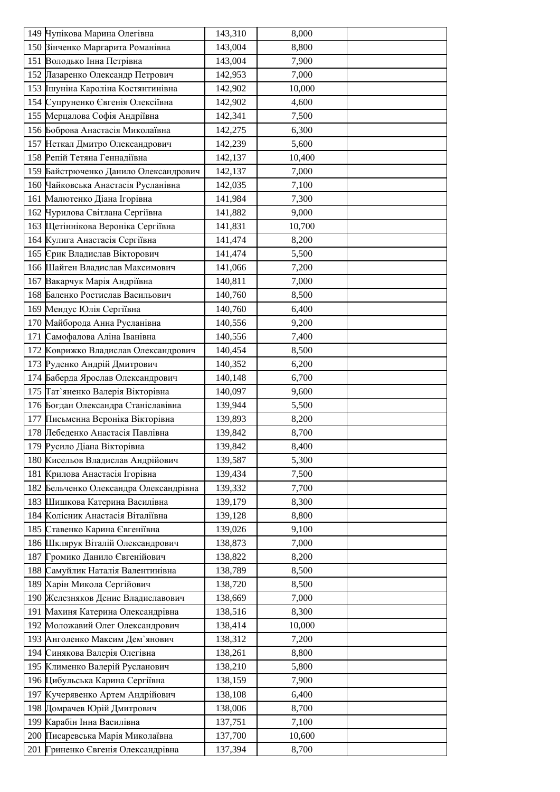| 150 Вінченко Маргарита Романівна<br>143,004<br>8,800<br>151 Володько Інна Петрівна<br>143,004<br>7,900<br>152 Лазаренко Олександр Петрович<br>142,953<br>7,000<br>153 Ішуніна Кароліна Костянтинівна<br>142,902<br>10,000<br>154 Супруненко Євгенія Олексіївна<br>4,600<br>142,902<br>155 Мерцалова Софія Андріївна<br>142,341<br>7,500<br>156 Боброва Анастасія Миколаївна<br>142,275<br>6,300<br>157 Неткал Дмитро Олександрович<br>142,239<br>5,600<br>158 Репій Тетяна Геннадіївна<br>142,137<br>10,400<br>159 Байстрюченко Данило Олександрович<br>142,137<br>7,000<br>160 Чайковська Анастасія Русланівна<br>142,035<br>7,100<br>161 Малютенко Діана Ігорівна<br>141,984<br>7,300<br>162 Чурилова Світлана Сергіївна<br>141,882<br>9,000<br>163 Щетіннікова Вероніка Сергіївна<br>10,700<br>141,831<br>164 Кулига Анастасія Сергіївна<br>141,474<br>8,200<br>165 Срик Владислав Вікторович<br>141,474<br>5,500<br>166 Шайген Владислав Максимович<br>141,066<br>7,200<br>167 Вакарчук Марія Андріївна<br>140,811<br>7,000<br>168 Баленко Ростислав Васильович<br>140,760<br>8,500<br>169 Мендус Юлія Сергіївна<br>140,760<br>6,400<br>170 Майборода Анна Русланівна<br>140,556<br>9,200<br>171 Самофалова Аліна Іванівна<br>140,556<br>7,400<br>172 Коврижко Владислав Олександрович<br>140,454<br>8,500<br>173 Руденко Андрій Дмитрович<br>140,352<br>6,200<br>174 Баберда Ярослав Олександрович<br>6,700<br>140,148 |
|-----------------------------------------------------------------------------------------------------------------------------------------------------------------------------------------------------------------------------------------------------------------------------------------------------------------------------------------------------------------------------------------------------------------------------------------------------------------------------------------------------------------------------------------------------------------------------------------------------------------------------------------------------------------------------------------------------------------------------------------------------------------------------------------------------------------------------------------------------------------------------------------------------------------------------------------------------------------------------------------------------------------------------------------------------------------------------------------------------------------------------------------------------------------------------------------------------------------------------------------------------------------------------------------------------------------------------------------------------------------------------------------------------------------------------|
|                                                                                                                                                                                                                                                                                                                                                                                                                                                                                                                                                                                                                                                                                                                                                                                                                                                                                                                                                                                                                                                                                                                                                                                                                                                                                                                                                                                                                             |
|                                                                                                                                                                                                                                                                                                                                                                                                                                                                                                                                                                                                                                                                                                                                                                                                                                                                                                                                                                                                                                                                                                                                                                                                                                                                                                                                                                                                                             |
|                                                                                                                                                                                                                                                                                                                                                                                                                                                                                                                                                                                                                                                                                                                                                                                                                                                                                                                                                                                                                                                                                                                                                                                                                                                                                                                                                                                                                             |
|                                                                                                                                                                                                                                                                                                                                                                                                                                                                                                                                                                                                                                                                                                                                                                                                                                                                                                                                                                                                                                                                                                                                                                                                                                                                                                                                                                                                                             |
|                                                                                                                                                                                                                                                                                                                                                                                                                                                                                                                                                                                                                                                                                                                                                                                                                                                                                                                                                                                                                                                                                                                                                                                                                                                                                                                                                                                                                             |
|                                                                                                                                                                                                                                                                                                                                                                                                                                                                                                                                                                                                                                                                                                                                                                                                                                                                                                                                                                                                                                                                                                                                                                                                                                                                                                                                                                                                                             |
|                                                                                                                                                                                                                                                                                                                                                                                                                                                                                                                                                                                                                                                                                                                                                                                                                                                                                                                                                                                                                                                                                                                                                                                                                                                                                                                                                                                                                             |
|                                                                                                                                                                                                                                                                                                                                                                                                                                                                                                                                                                                                                                                                                                                                                                                                                                                                                                                                                                                                                                                                                                                                                                                                                                                                                                                                                                                                                             |
|                                                                                                                                                                                                                                                                                                                                                                                                                                                                                                                                                                                                                                                                                                                                                                                                                                                                                                                                                                                                                                                                                                                                                                                                                                                                                                                                                                                                                             |
|                                                                                                                                                                                                                                                                                                                                                                                                                                                                                                                                                                                                                                                                                                                                                                                                                                                                                                                                                                                                                                                                                                                                                                                                                                                                                                                                                                                                                             |
|                                                                                                                                                                                                                                                                                                                                                                                                                                                                                                                                                                                                                                                                                                                                                                                                                                                                                                                                                                                                                                                                                                                                                                                                                                                                                                                                                                                                                             |
|                                                                                                                                                                                                                                                                                                                                                                                                                                                                                                                                                                                                                                                                                                                                                                                                                                                                                                                                                                                                                                                                                                                                                                                                                                                                                                                                                                                                                             |
|                                                                                                                                                                                                                                                                                                                                                                                                                                                                                                                                                                                                                                                                                                                                                                                                                                                                                                                                                                                                                                                                                                                                                                                                                                                                                                                                                                                                                             |
|                                                                                                                                                                                                                                                                                                                                                                                                                                                                                                                                                                                                                                                                                                                                                                                                                                                                                                                                                                                                                                                                                                                                                                                                                                                                                                                                                                                                                             |
|                                                                                                                                                                                                                                                                                                                                                                                                                                                                                                                                                                                                                                                                                                                                                                                                                                                                                                                                                                                                                                                                                                                                                                                                                                                                                                                                                                                                                             |
|                                                                                                                                                                                                                                                                                                                                                                                                                                                                                                                                                                                                                                                                                                                                                                                                                                                                                                                                                                                                                                                                                                                                                                                                                                                                                                                                                                                                                             |
|                                                                                                                                                                                                                                                                                                                                                                                                                                                                                                                                                                                                                                                                                                                                                                                                                                                                                                                                                                                                                                                                                                                                                                                                                                                                                                                                                                                                                             |
|                                                                                                                                                                                                                                                                                                                                                                                                                                                                                                                                                                                                                                                                                                                                                                                                                                                                                                                                                                                                                                                                                                                                                                                                                                                                                                                                                                                                                             |
|                                                                                                                                                                                                                                                                                                                                                                                                                                                                                                                                                                                                                                                                                                                                                                                                                                                                                                                                                                                                                                                                                                                                                                                                                                                                                                                                                                                                                             |
|                                                                                                                                                                                                                                                                                                                                                                                                                                                                                                                                                                                                                                                                                                                                                                                                                                                                                                                                                                                                                                                                                                                                                                                                                                                                                                                                                                                                                             |
|                                                                                                                                                                                                                                                                                                                                                                                                                                                                                                                                                                                                                                                                                                                                                                                                                                                                                                                                                                                                                                                                                                                                                                                                                                                                                                                                                                                                                             |
|                                                                                                                                                                                                                                                                                                                                                                                                                                                                                                                                                                                                                                                                                                                                                                                                                                                                                                                                                                                                                                                                                                                                                                                                                                                                                                                                                                                                                             |
|                                                                                                                                                                                                                                                                                                                                                                                                                                                                                                                                                                                                                                                                                                                                                                                                                                                                                                                                                                                                                                                                                                                                                                                                                                                                                                                                                                                                                             |
|                                                                                                                                                                                                                                                                                                                                                                                                                                                                                                                                                                                                                                                                                                                                                                                                                                                                                                                                                                                                                                                                                                                                                                                                                                                                                                                                                                                                                             |
|                                                                                                                                                                                                                                                                                                                                                                                                                                                                                                                                                                                                                                                                                                                                                                                                                                                                                                                                                                                                                                                                                                                                                                                                                                                                                                                                                                                                                             |
| 175 Гат'яненко Валерія Вікторівна<br>140,097<br>9,600                                                                                                                                                                                                                                                                                                                                                                                                                                                                                                                                                                                                                                                                                                                                                                                                                                                                                                                                                                                                                                                                                                                                                                                                                                                                                                                                                                       |
| 176 Богдан Олександра Станіславівна<br>139,944<br>5,500                                                                                                                                                                                                                                                                                                                                                                                                                                                                                                                                                                                                                                                                                                                                                                                                                                                                                                                                                                                                                                                                                                                                                                                                                                                                                                                                                                     |
| 177 Письменна Вероніка Вікторівна<br>139,893<br>8,200                                                                                                                                                                                                                                                                                                                                                                                                                                                                                                                                                                                                                                                                                                                                                                                                                                                                                                                                                                                                                                                                                                                                                                                                                                                                                                                                                                       |
| 178 Пебеденко Анастасія Павлівна<br>139,842<br>8,700                                                                                                                                                                                                                                                                                                                                                                                                                                                                                                                                                                                                                                                                                                                                                                                                                                                                                                                                                                                                                                                                                                                                                                                                                                                                                                                                                                        |
| 179 Русило Діана Вікторівна<br>139,842<br>8,400                                                                                                                                                                                                                                                                                                                                                                                                                                                                                                                                                                                                                                                                                                                                                                                                                                                                                                                                                                                                                                                                                                                                                                                                                                                                                                                                                                             |
| 180 Кисельов Владислав Андрійович<br>139,587<br>5,300                                                                                                                                                                                                                                                                                                                                                                                                                                                                                                                                                                                                                                                                                                                                                                                                                                                                                                                                                                                                                                                                                                                                                                                                                                                                                                                                                                       |
| 181 Крилова Анастасія Ігорівна<br>139,434<br>7,500                                                                                                                                                                                                                                                                                                                                                                                                                                                                                                                                                                                                                                                                                                                                                                                                                                                                                                                                                                                                                                                                                                                                                                                                                                                                                                                                                                          |
| 182 Бельченко Олександра Олександрівна<br>7,700<br>139,332                                                                                                                                                                                                                                                                                                                                                                                                                                                                                                                                                                                                                                                                                                                                                                                                                                                                                                                                                                                                                                                                                                                                                                                                                                                                                                                                                                  |
| 183 Шишкова Катерина Василівна<br>139,179<br>8,300                                                                                                                                                                                                                                                                                                                                                                                                                                                                                                                                                                                                                                                                                                                                                                                                                                                                                                                                                                                                                                                                                                                                                                                                                                                                                                                                                                          |
| 184 Колісник Анастасія Віталіївна<br>139,128<br>8,800                                                                                                                                                                                                                                                                                                                                                                                                                                                                                                                                                                                                                                                                                                                                                                                                                                                                                                                                                                                                                                                                                                                                                                                                                                                                                                                                                                       |
| 185 Ставенко Карина Євгеніївна<br>139,026<br>9,100                                                                                                                                                                                                                                                                                                                                                                                                                                                                                                                                                                                                                                                                                                                                                                                                                                                                                                                                                                                                                                                                                                                                                                                                                                                                                                                                                                          |
| 186 Шклярук Віталій Олександрович<br>138,873<br>7,000                                                                                                                                                                                                                                                                                                                                                                                                                                                                                                                                                                                                                                                                                                                                                                                                                                                                                                                                                                                                                                                                                                                                                                                                                                                                                                                                                                       |
| 187 Громико Данило Євгенійович<br>138,822<br>8,200                                                                                                                                                                                                                                                                                                                                                                                                                                                                                                                                                                                                                                                                                                                                                                                                                                                                                                                                                                                                                                                                                                                                                                                                                                                                                                                                                                          |
| 188 Самуйлик Наталія Валентинівна<br>138,789<br>8,500                                                                                                                                                                                                                                                                                                                                                                                                                                                                                                                                                                                                                                                                                                                                                                                                                                                                                                                                                                                                                                                                                                                                                                                                                                                                                                                                                                       |
| 189 Харін Микола Сергійович<br>138,720<br>8,500                                                                                                                                                                                                                                                                                                                                                                                                                                                                                                                                                                                                                                                                                                                                                                                                                                                                                                                                                                                                                                                                                                                                                                                                                                                                                                                                                                             |
| 190 Железняков Денис Владиславович<br>138,669<br>7,000                                                                                                                                                                                                                                                                                                                                                                                                                                                                                                                                                                                                                                                                                                                                                                                                                                                                                                                                                                                                                                                                                                                                                                                                                                                                                                                                                                      |
| 191 Махиня Катерина Олександрівна<br>138,516<br>8,300                                                                                                                                                                                                                                                                                                                                                                                                                                                                                                                                                                                                                                                                                                                                                                                                                                                                                                                                                                                                                                                                                                                                                                                                                                                                                                                                                                       |
| 192 Моложавий Олег Олександрович<br>138,414<br>10,000                                                                                                                                                                                                                                                                                                                                                                                                                                                                                                                                                                                                                                                                                                                                                                                                                                                                                                                                                                                                                                                                                                                                                                                                                                                                                                                                                                       |
| 193 Анголенко Максим Дем'янович<br>7,200<br>138,312                                                                                                                                                                                                                                                                                                                                                                                                                                                                                                                                                                                                                                                                                                                                                                                                                                                                                                                                                                                                                                                                                                                                                                                                                                                                                                                                                                         |
| 194 Синякова Валерія Олегівна<br>138,261<br>8,800                                                                                                                                                                                                                                                                                                                                                                                                                                                                                                                                                                                                                                                                                                                                                                                                                                                                                                                                                                                                                                                                                                                                                                                                                                                                                                                                                                           |
| 195 Клименко Валерій Русланович<br>138,210<br>5,800                                                                                                                                                                                                                                                                                                                                                                                                                                                                                                                                                                                                                                                                                                                                                                                                                                                                                                                                                                                                                                                                                                                                                                                                                                                                                                                                                                         |
| 196 Цибульська Карина Сергіївна<br>138,159<br>7,900                                                                                                                                                                                                                                                                                                                                                                                                                                                                                                                                                                                                                                                                                                                                                                                                                                                                                                                                                                                                                                                                                                                                                                                                                                                                                                                                                                         |
| 197 Кучерявенко Артем Андрійович<br>138,108<br>6,400                                                                                                                                                                                                                                                                                                                                                                                                                                                                                                                                                                                                                                                                                                                                                                                                                                                                                                                                                                                                                                                                                                                                                                                                                                                                                                                                                                        |
| 198 Домрачев Юрій Дмитрович<br>138,006<br>8,700                                                                                                                                                                                                                                                                                                                                                                                                                                                                                                                                                                                                                                                                                                                                                                                                                                                                                                                                                                                                                                                                                                                                                                                                                                                                                                                                                                             |
| 199 Карабін Інна Василівна<br>137,751<br>7,100                                                                                                                                                                                                                                                                                                                                                                                                                                                                                                                                                                                                                                                                                                                                                                                                                                                                                                                                                                                                                                                                                                                                                                                                                                                                                                                                                                              |
| 200 Писаревська Марія Миколаївна<br>137,700<br>10,600                                                                                                                                                                                                                                                                                                                                                                                                                                                                                                                                                                                                                                                                                                                                                                                                                                                                                                                                                                                                                                                                                                                                                                                                                                                                                                                                                                       |
| 201 Гриненко Євгенія Олександрівна<br>137,394<br>8,700                                                                                                                                                                                                                                                                                                                                                                                                                                                                                                                                                                                                                                                                                                                                                                                                                                                                                                                                                                                                                                                                                                                                                                                                                                                                                                                                                                      |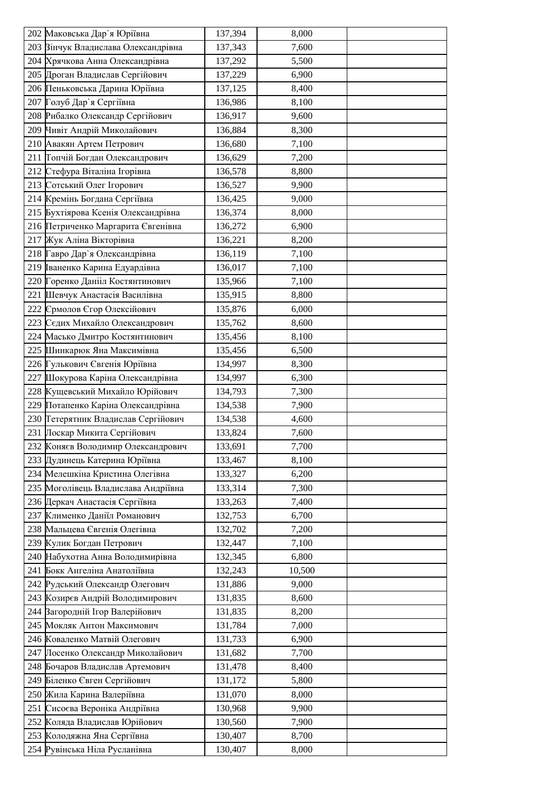| 202 Маковська Дар'я Юріївна         | 137,394 | 8,000  |  |
|-------------------------------------|---------|--------|--|
| 203 Вінчук Владислава Олександрівна | 137,343 | 7,600  |  |
| 204 Хрячкова Анна Олександрівна     | 137,292 | 5,500  |  |
| 205 Дроган Владислав Сергійович     | 137,229 | 6,900  |  |
| 206 Пеньковська Дарина Юріївна      | 137,125 | 8,400  |  |
| 207 Голуб Дар'я Сергіївна           | 136,986 | 8,100  |  |
| 208 Рибалко Олександр Сергійович    | 136,917 | 9,600  |  |
| 209 Чивіт Андрій Миколайович        | 136,884 | 8,300  |  |
| 210 Авакян Артем Петрович           | 136,680 | 7,100  |  |
| 211 Гопчій Богдан Олександрович     | 136,629 | 7,200  |  |
| 212 Стефура Віталіна Ігорівна       | 136,578 | 8,800  |  |
| 213 Сотський Олег Ігорович          | 136,527 | 9,900  |  |
| 214 Кремінь Богдана Сергіївна       | 136,425 | 9,000  |  |
| 215 Бухтіярова Ксенія Олександрівна | 136,374 | 8,000  |  |
| 216 Петриченко Маргарита Євгенівна  | 136,272 | 6,900  |  |
| 217 Жук Аліна Вікторівна            | 136,221 | 8,200  |  |
| 218 Гавро Дар'я Олександрівна       | 136,119 | 7,100  |  |
| 219 Іваненко Карина Едуардівна      | 136,017 | 7,100  |  |
| 220 Горенко Данііл Костянтинович    | 135,966 | 7,100  |  |
| 221 Шевчук Анастасія Василівна      | 135,915 | 8,800  |  |
| 222 Єрмолов Єгор Олексійович        | 135,876 | 6,000  |  |
| 223 Седих Михайло Олександрович     | 135,762 | 8,600  |  |
| 224 Масько Дмитро Костянтинович     | 135,456 | 8,100  |  |
| 225 Шинкарюк Яна Максимівна         | 135,456 | 6,500  |  |
| 226 Гулькович Євгенія Юріївна       | 134,997 | 8,300  |  |
| 227 Шокурова Каріна Олександрівна   | 134,997 | 6,300  |  |
| 228 Кущевський Михайло Юрійович     | 134,793 | 7,300  |  |
| 229 Потапенко Каріна Олександрівна  | 134,538 | 7,900  |  |
| 230 Гетерятник Владислав Сергійович | 134,538 | 4,600  |  |
| 231 Лоскар Микита Сергійович        | 133,824 | 7,600  |  |
| 232 Коняєв Володимир Олександрович  | 133,691 | 7,700  |  |
| 233 Дудинець Катерина Юріївна       | 133,467 | 8,100  |  |
| 234 Мелешкіна Кристина Олегівна     | 133,327 | 6,200  |  |
| 235 Моголівець Владислава Андріївна | 133,314 | 7,300  |  |
| 236 Деркач Анастасія Сергіївна      | 133,263 | 7,400  |  |
| 237 Клименко Даніїл Романович       | 132,753 | 6,700  |  |
| 238 Мальцева Євгенія Олегівна       | 132,702 | 7,200  |  |
| 239 Кулик Богдан Петрович           | 132,447 | 7,100  |  |
| 240 Набухотна Анна Володимирівна    | 132,345 | 6,800  |  |
| 241 Бокк Ангеліна Анатоліївна       | 132,243 | 10,500 |  |
| 242 Рудський Олександр Олегович     | 131,886 | 9,000  |  |
| 243 Козирєв Андрій Володимирович    | 131,835 | 8,600  |  |
| 244 Вагородній Ігор Валерійович     | 131,835 | 8,200  |  |
| 245 Мокляк Антон Максимович         | 131,784 | 7,000  |  |
| 246 Коваленко Матвій Олегович       | 131,733 | 6,900  |  |
| 247 Лосенко Олександр Миколайович   | 131,682 | 7,700  |  |
| 248 Бочаров Владислав Артемович     | 131,478 | 8,400  |  |
| 249 Біленко Євген Сергійович        | 131,172 | 5,800  |  |
| 250 Жила Карина Валеріївна          | 131,070 | 8,000  |  |
| 251 Сисоєва Вероніка Андріївна      | 130,968 | 9,900  |  |
| 252 Коляда Владислав Юрійович       | 130,560 | 7,900  |  |
| 253 Колодяжна Яна Сергіївна         | 130,407 | 8,700  |  |
| 254 Рувінська Ніла Русланівна       | 130,407 | 8,000  |  |
|                                     |         |        |  |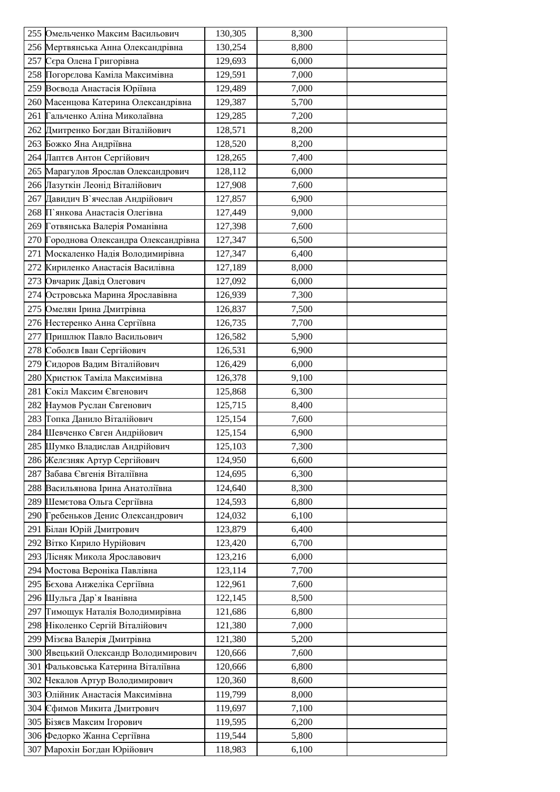| 255 Омельченко Максим Васильович       | 130,305            | 8,300          |  |
|----------------------------------------|--------------------|----------------|--|
| 256 Мертвянська Анна Олександрівна     | 130,254            | 8,800          |  |
| 257 Сера Олена Григорівна              | 129,693            | 6,000          |  |
| 258 Погорелова Каміла Максимівна       | 129,591            | 7,000          |  |
| 259 Воєвода Анастасія Юріївна          | 129,489            | 7,000          |  |
| 260 Масенцова Катерина Олександрівна   | 129,387            | 5,700          |  |
| 261 Гальченко Аліна Миколаївна         | 129,285            | 7,200          |  |
| 262 Дмитренко Богдан Віталійович       | 128,571            | 8,200          |  |
| 263 Божко Яна Андріївна                | 128,520            | 8,200          |  |
| 264 Лаптєв Антон Сергійович            | 128,265            | 7,400          |  |
| 265 Марагулов Ярослав Олександрович    | 128,112            | 6,000          |  |
| 266 Лазуткін Леонід Віталійович        | 127,908            | 7,600          |  |
| 267 Давидич В'ячеслав Андрійович       | 127,857            | 6,900          |  |
| 268 П'янкова Анастасія Олегівна        | 127,449            | 9,000          |  |
| 269 Готвянська Валерія Романівна       | 127,398            | 7,600          |  |
| 270 Городнова Олександра Олександрівна | 127,347            | 6,500          |  |
| 271 Москаленко Надія Володимирівна     | 127,347            | 6,400          |  |
| 272 Кириленко Анастасія Василівна      | 127,189            | 8,000          |  |
| 273 Овчарик Давід Олегович             | 127,092            | 6,000          |  |
| 274 Островська Марина Ярославівна      | 126,939            | 7,300          |  |
| 275 Омелян Ірина Дмитрівна             | 126,837            | 7,500          |  |
| 276 Нестеренко Анна Сергіївна          | 126,735            | 7,700          |  |
| 277 Пришлюк Павло Васильович           | 126,582            | 5,900          |  |
| 278 Соболєв Іван Сергійович            | 126,531            | 6,900          |  |
| 279 Сидоров Вадим Віталійович          | 126,429            | 6,000          |  |
| 280 Христюк Таміла Максимівна          |                    |                |  |
| 281 Сокіл Максим Євгенович             | 126,378<br>125,868 | 9,100<br>6,300 |  |
| 282 Наумов Руслан Євгенович            | 125,715            | 8,400          |  |
| 283 Гопка Данило Віталійович           | 125,154            | 7,600          |  |
| 284 Шевченко Євген Андрійович          | 125,154            | 6,900          |  |
| 285 Шумко Владислав Андрійович         | 125,103            | 7,300          |  |
| 286 Желєзняк Артур Сергійович          | 124,950            | 6,600          |  |
| 287 Забава Євгенія Віталіївна          | 124,695            | 6,300          |  |
| 288 Васильянова Ірина Анатоліївна      | 124,640            | 8,300          |  |
| 289 Шемєтова Ольга Сергіївна           | 124,593            | 6,800          |  |
| 290 Гребеньков Денис Олександрович     | 124,032            | 6,100          |  |
| 291 Білан Юрій Дмитрович               | 123,879            | 6,400          |  |
| 292 Вітко Кирило Нурійович             | 123,420            | 6,700          |  |
| 293 Лісняк Микола Ярославович          | 123,216            | 6,000          |  |
| 294 Мостова Вероніка Павлівна          | 123,114            | 7,700          |  |
| 295 Бєхова Анжеліка Сергіївна          | 122,961            | 7,600          |  |
| 296 Шульга Дар`я Іванівна              | 122,145            | 8,500          |  |
| 297 Гимощук Наталія Володимирівна      | 121,686            | 6,800          |  |
| 298 Ніколенко Сергій Віталійович       | 121,380            | 7,000          |  |
| 299 Мізєва Валерія Дмитрівна           | 121,380            | 5,200          |  |
| 300 Явецький Олександр Володимирович   | 120,666            | 7,600          |  |
| 301 Фальковська Катерина Віталіївна    | 120,666            | 6,800          |  |
| 302 Чекалов Артур Володимирович        | 120,360            | 8,600          |  |
| 303 Олійник Анастасія Максимівна       | 119,799            | 8,000          |  |
| 304 Сфимов Микита Дмитрович            | 119,697            | 7,100          |  |
| 305 Бізяєв Максим Ігорович             | 119,595            | 6,200          |  |
| 306 Федорко Жанна Сергіївна            | 119,544            | 5,800          |  |
| 307 Марохін Богдан Юрійович            | 118,983            | 6,100          |  |
|                                        |                    |                |  |